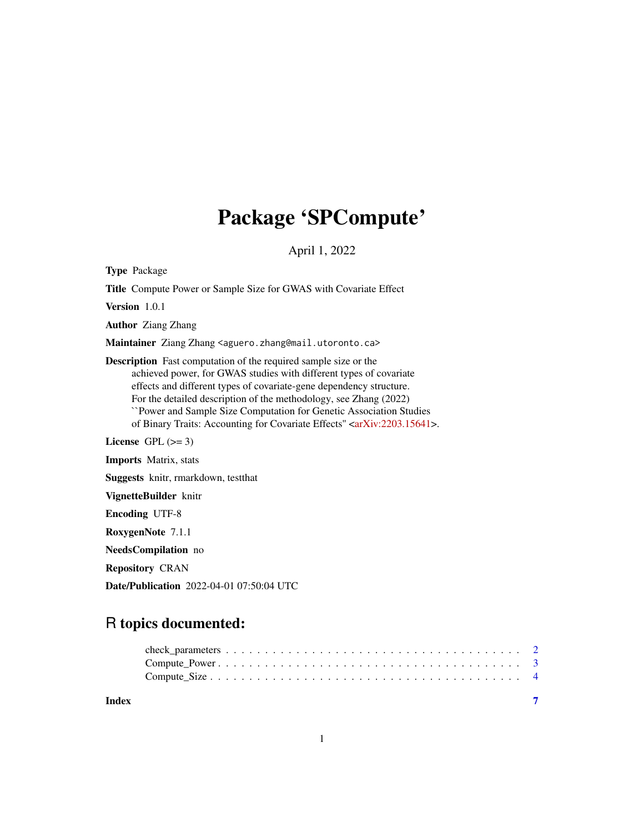## Package 'SPCompute'

April 1, 2022

Type Package

Title Compute Power or Sample Size for GWAS with Covariate Effect

Version 1.0.1

Author Ziang Zhang

Maintainer Ziang Zhang <aguero.zhang@mail.utoronto.ca>

Description Fast computation of the required sample size or the achieved power, for GWAS studies with different types of covariate effects and different types of covariate-gene dependency structure. For the detailed description of the methodology, see Zhang (2022) ``Power and Sample Size Computation for Genetic Association Studies of Binary Traits: Accounting for Covariate Effects" [<arXiv:2203.15641>](https://arxiv.org/abs/2203.15641). License GPL  $(>= 3)$ Imports Matrix, stats

Suggests knitr, rmarkdown, testthat

VignetteBuilder knitr

Encoding UTF-8

RoxygenNote 7.1.1

NeedsCompilation no

Repository CRAN

Date/Publication 2022-04-01 07:50:04 UTC

### R topics documented:

| Index |  |
|-------|--|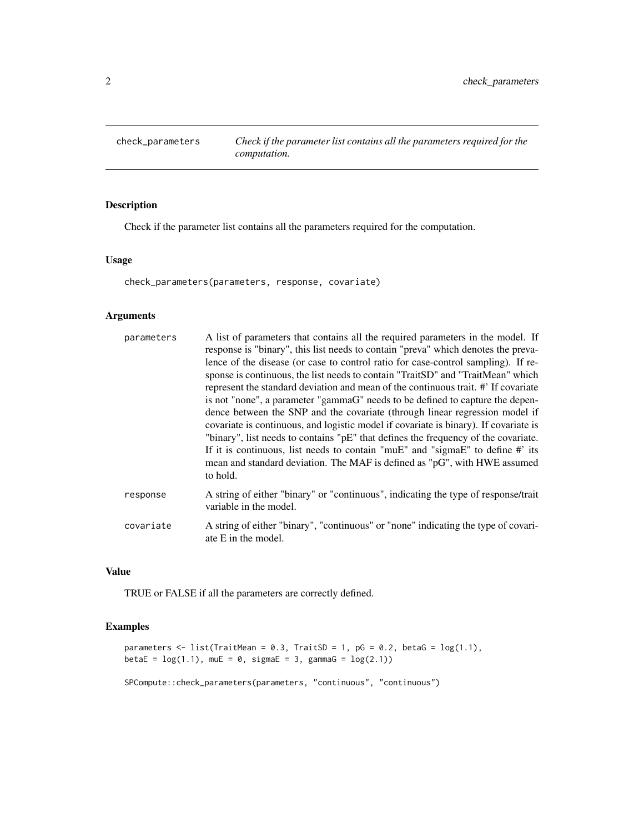<span id="page-1-0"></span>check\_parameters *Check if the parameter list contains all the parameters required for the computation.*

#### Description

Check if the parameter list contains all the parameters required for the computation.

#### Usage

check\_parameters(parameters, response, covariate)

#### Arguments

| parameters | A list of parameters that contains all the required parameters in the model. If<br>response is "binary", this list needs to contain "preva" which denotes the preva-<br>lence of the disease (or case to control ratio for case-control sampling). If re-<br>sponse is continuous, the list needs to contain "TraitSD" and "TraitMean" which<br>represent the standard deviation and mean of the continuous trait. #' If covariate<br>is not "none", a parameter "gammaG" needs to be defined to capture the depen-<br>dence between the SNP and the covariate (through linear regression model if<br>covariate is continuous, and logistic model if covariate is binary). If covariate is<br>"binary", list needs to contains " $pE$ " that defines the frequency of the covariate.<br>If it is continuous, list needs to contain "muE" and "sigmaE" to define $\#$ its<br>mean and standard deviation. The MAF is defined as "pG", with HWE assumed<br>to hold. |
|------------|-------------------------------------------------------------------------------------------------------------------------------------------------------------------------------------------------------------------------------------------------------------------------------------------------------------------------------------------------------------------------------------------------------------------------------------------------------------------------------------------------------------------------------------------------------------------------------------------------------------------------------------------------------------------------------------------------------------------------------------------------------------------------------------------------------------------------------------------------------------------------------------------------------------------------------------------------------------------|
| response   | A string of either "binary" or "continuous", indicating the type of response/trait<br>variable in the model.                                                                                                                                                                                                                                                                                                                                                                                                                                                                                                                                                                                                                                                                                                                                                                                                                                                      |
| covariate  | A string of either "binary", "continuous" or "none" indicating the type of covari-<br>ate E in the model.                                                                                                                                                                                                                                                                                                                                                                                                                                                                                                                                                                                                                                                                                                                                                                                                                                                         |

#### Value

TRUE or FALSE if all the parameters are correctly defined.

#### Examples

```
parameters \leq list(TraitMean = 0.3, TraitSD = 1, pG = 0.2, betaG = \log(1.1),
beta = \log(1.1), muE = 0, sigmaE = 3, gammaG = \log(2.1))
```
SPCompute::check\_parameters(parameters, "continuous", "continuous")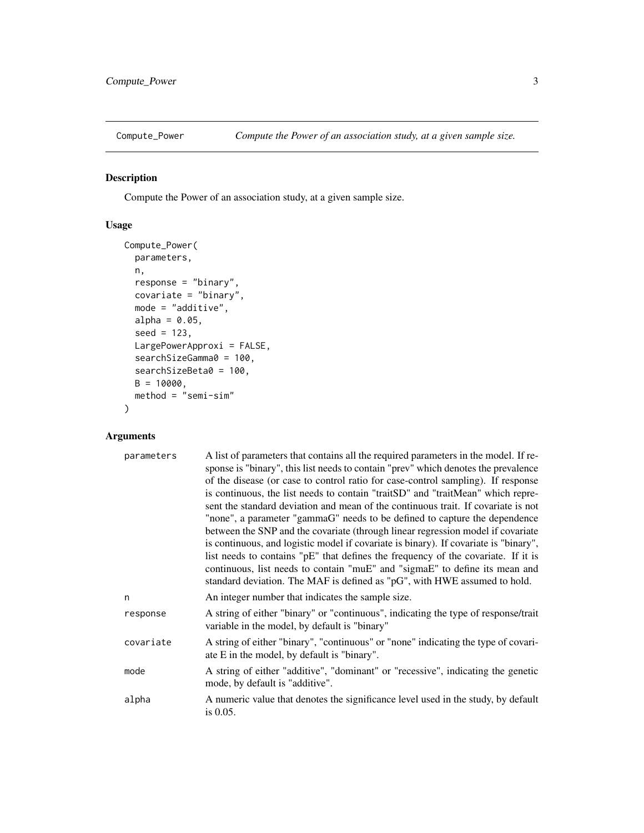<span id="page-2-0"></span>

#### Description

Compute the Power of an association study, at a given sample size.

#### Usage

```
Compute_Power(
 parameters,
 n,
 response = "binary",
 covariate = "binary",
 mode = "additive",alpha = 0.05,
  seed = 123,
 LargePowerApproxi = FALSE,
 searchSizeGamma0 = 100,
  searchSizeBeta0 = 100,
 B = 10000,
 method = "semi-sim"
)
```
#### Arguments

| parameters | A list of parameters that contains all the required parameters in the model. If re-<br>sponse is "binary", this list needs to contain "prev" which denotes the prevalence<br>of the disease (or case to control ratio for case-control sampling). If response<br>is continuous, the list needs to contain "traitSD" and "traitMean" which repre-<br>sent the standard deviation and mean of the continuous trait. If covariate is not<br>"none", a parameter "gammaG" needs to be defined to capture the dependence<br>between the SNP and the covariate (through linear regression model if covariate<br>is continuous, and logistic model if covariate is binary). If covariate is "binary",<br>list needs to contains "pE" that defines the frequency of the covariate. If it is<br>continuous, list needs to contain "muE" and "sigmaE" to define its mean and<br>standard deviation. The MAF is defined as "pG", with HWE assumed to hold. |
|------------|-------------------------------------------------------------------------------------------------------------------------------------------------------------------------------------------------------------------------------------------------------------------------------------------------------------------------------------------------------------------------------------------------------------------------------------------------------------------------------------------------------------------------------------------------------------------------------------------------------------------------------------------------------------------------------------------------------------------------------------------------------------------------------------------------------------------------------------------------------------------------------------------------------------------------------------------------|
| n          | An integer number that indicates the sample size.                                                                                                                                                                                                                                                                                                                                                                                                                                                                                                                                                                                                                                                                                                                                                                                                                                                                                               |
| response   | A string of either "binary" or "continuous", indicating the type of response/trait<br>variable in the model, by default is "binary"                                                                                                                                                                                                                                                                                                                                                                                                                                                                                                                                                                                                                                                                                                                                                                                                             |
| covariate  | A string of either "binary", "continuous" or "none" indicating the type of covari-<br>ate E in the model, by default is "binary".                                                                                                                                                                                                                                                                                                                                                                                                                                                                                                                                                                                                                                                                                                                                                                                                               |
| mode       | A string of either "additive", "dominant" or "recessive", indicating the genetic<br>mode, by default is "additive".                                                                                                                                                                                                                                                                                                                                                                                                                                                                                                                                                                                                                                                                                                                                                                                                                             |
| alpha      | A numeric value that denotes the significance level used in the study, by default<br>is 0.05.                                                                                                                                                                                                                                                                                                                                                                                                                                                                                                                                                                                                                                                                                                                                                                                                                                                   |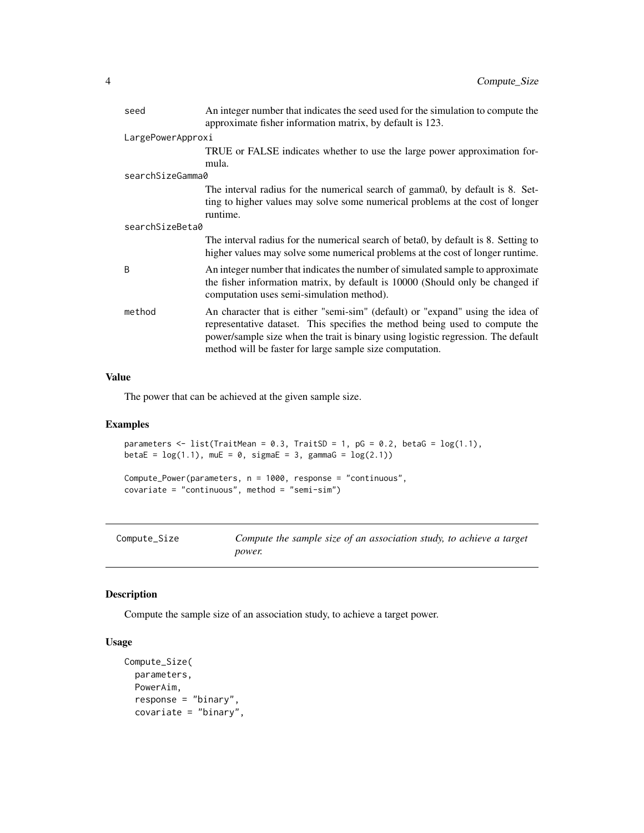<span id="page-3-0"></span>

| seed              | An integer number that indicates the seed used for the simulation to compute the<br>approximate fisher information matrix, by default is 123.                                                                                                                                                                  |  |
|-------------------|----------------------------------------------------------------------------------------------------------------------------------------------------------------------------------------------------------------------------------------------------------------------------------------------------------------|--|
| LargePowerApproxi |                                                                                                                                                                                                                                                                                                                |  |
|                   | TRUE or FALSE indicates whether to use the large power approximation for-                                                                                                                                                                                                                                      |  |
|                   | mula.                                                                                                                                                                                                                                                                                                          |  |
| searchSizeGamma0  |                                                                                                                                                                                                                                                                                                                |  |
|                   | The interval radius for the numerical search of gamma0, by default is 8. Set-<br>ting to higher values may solve some numerical problems at the cost of longer<br>runtime.                                                                                                                                     |  |
| searchSizeBeta0   |                                                                                                                                                                                                                                                                                                                |  |
|                   | The interval radius for the numerical search of beta0, by default is 8. Setting to<br>higher values may solve some numerical problems at the cost of longer runtime.                                                                                                                                           |  |
| <sub>B</sub>      | An integer number that indicates the number of simulated sample to approximate<br>the fisher information matrix, by default is 10000 (Should only be changed if<br>computation uses semi-simulation method).                                                                                                   |  |
| method            | An character that is either "semi-sim" (default) or "expand" using the idea of<br>representative dataset. This specifies the method being used to compute the<br>power/sample size when the trait is binary using logistic regression. The default<br>method will be faster for large sample size computation. |  |

#### Value

The power that can be achieved at the given sample size.

#### Examples

```
parameters \leq list(TraitMean = 0.3, TraitSD = 1, pG = 0.2, betaG = log(1.1),
betaE = log(1.1), muE = 0, sigmaE = 3, gammaG = log(2.1))
```

```
Compute_Power(parameters, n = 1000, response = "continuous",
covariate = "continuous", method = "semi-sim")
```

| Compute_Size |
|--------------|
|--------------|

Compute\_Size *Compute the sample size of an association study, to achieve a target power.*

#### Description

Compute the sample size of an association study, to achieve a target power.

#### Usage

```
Compute_Size(
 parameters,
 PowerAim,
  response = "binary",
 covariate = "binary",
```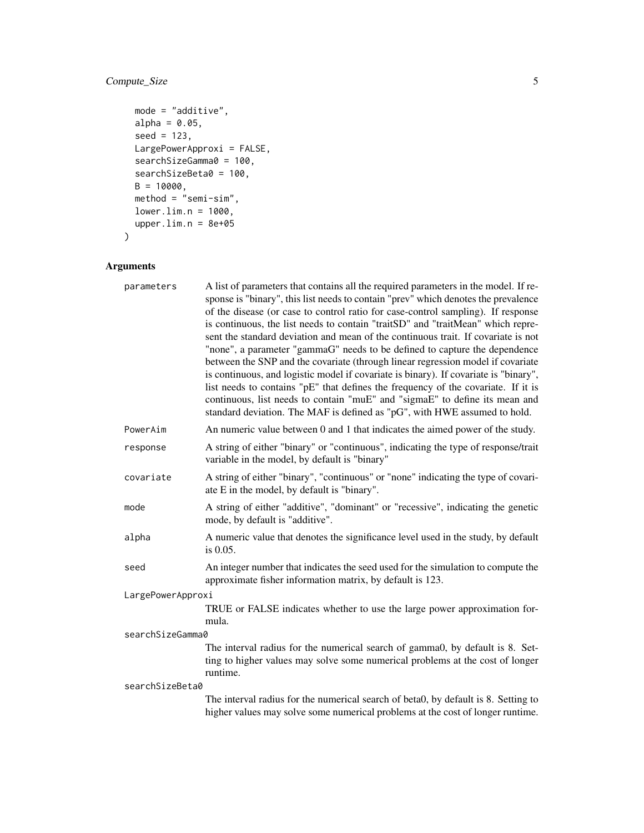#### Compute\_Size 5

```
mode = "additive",
 alpha = 0.05,
 seed = 123,
 LargePowerApproxi = FALSE,
  searchSizeGamma0 = 100,
  searchSizeBeta0 = 100,
 B = 10000,method = "semi-sim",
 lower.lim.n = 1000,
 upper.lim.n = 8e+05\mathcal{L}
```
#### Arguments

|                  | parameters        | A list of parameters that contains all the required parameters in the model. If re-<br>sponse is "binary", this list needs to contain "prev" which denotes the prevalence<br>of the disease (or case to control ratio for case-control sampling). If response<br>is continuous, the list needs to contain "traitSD" and "traitMean" which repre-<br>sent the standard deviation and mean of the continuous trait. If covariate is not<br>"none", a parameter "gammaG" needs to be defined to capture the dependence<br>between the SNP and the covariate (through linear regression model if covariate<br>is continuous, and logistic model if covariate is binary). If covariate is "binary",<br>list needs to contains "pE" that defines the frequency of the covariate. If it is<br>continuous, list needs to contain "muE" and "sigmaE" to define its mean and<br>standard deviation. The MAF is defined as "pG", with HWE assumed to hold. |
|------------------|-------------------|-------------------------------------------------------------------------------------------------------------------------------------------------------------------------------------------------------------------------------------------------------------------------------------------------------------------------------------------------------------------------------------------------------------------------------------------------------------------------------------------------------------------------------------------------------------------------------------------------------------------------------------------------------------------------------------------------------------------------------------------------------------------------------------------------------------------------------------------------------------------------------------------------------------------------------------------------|
|                  | PowerAim          | An numeric value between 0 and 1 that indicates the aimed power of the study.                                                                                                                                                                                                                                                                                                                                                                                                                                                                                                                                                                                                                                                                                                                                                                                                                                                                   |
|                  | response          | A string of either "binary" or "continuous", indicating the type of response/trait<br>variable in the model, by default is "binary"                                                                                                                                                                                                                                                                                                                                                                                                                                                                                                                                                                                                                                                                                                                                                                                                             |
|                  | covariate         | A string of either "binary", "continuous" or "none" indicating the type of covari-<br>ate E in the model, by default is "binary".                                                                                                                                                                                                                                                                                                                                                                                                                                                                                                                                                                                                                                                                                                                                                                                                               |
|                  | mode              | A string of either "additive", "dominant" or "recessive", indicating the genetic<br>mode, by default is "additive".                                                                                                                                                                                                                                                                                                                                                                                                                                                                                                                                                                                                                                                                                                                                                                                                                             |
|                  | alpha             | A numeric value that denotes the significance level used in the study, by default<br>is 0.05.                                                                                                                                                                                                                                                                                                                                                                                                                                                                                                                                                                                                                                                                                                                                                                                                                                                   |
|                  | seed              | An integer number that indicates the seed used for the simulation to compute the<br>approximate fisher information matrix, by default is 123.                                                                                                                                                                                                                                                                                                                                                                                                                                                                                                                                                                                                                                                                                                                                                                                                   |
|                  | LargePowerApproxi |                                                                                                                                                                                                                                                                                                                                                                                                                                                                                                                                                                                                                                                                                                                                                                                                                                                                                                                                                 |
|                  |                   | TRUE or FALSE indicates whether to use the large power approximation for-<br>mula.                                                                                                                                                                                                                                                                                                                                                                                                                                                                                                                                                                                                                                                                                                                                                                                                                                                              |
| searchSizeGamma0 |                   |                                                                                                                                                                                                                                                                                                                                                                                                                                                                                                                                                                                                                                                                                                                                                                                                                                                                                                                                                 |
|                  |                   | The interval radius for the numerical search of gamma0, by default is 8. Set-<br>ting to higher values may solve some numerical problems at the cost of longer<br>runtime.                                                                                                                                                                                                                                                                                                                                                                                                                                                                                                                                                                                                                                                                                                                                                                      |
| searchSizeBeta0  |                   |                                                                                                                                                                                                                                                                                                                                                                                                                                                                                                                                                                                                                                                                                                                                                                                                                                                                                                                                                 |
|                  |                   | The interval radius for the numerical search of beta0, by default is 8. Setting to<br>higher values may solve some numerical problems at the cost of longer runtime.                                                                                                                                                                                                                                                                                                                                                                                                                                                                                                                                                                                                                                                                                                                                                                            |
|                  |                   |                                                                                                                                                                                                                                                                                                                                                                                                                                                                                                                                                                                                                                                                                                                                                                                                                                                                                                                                                 |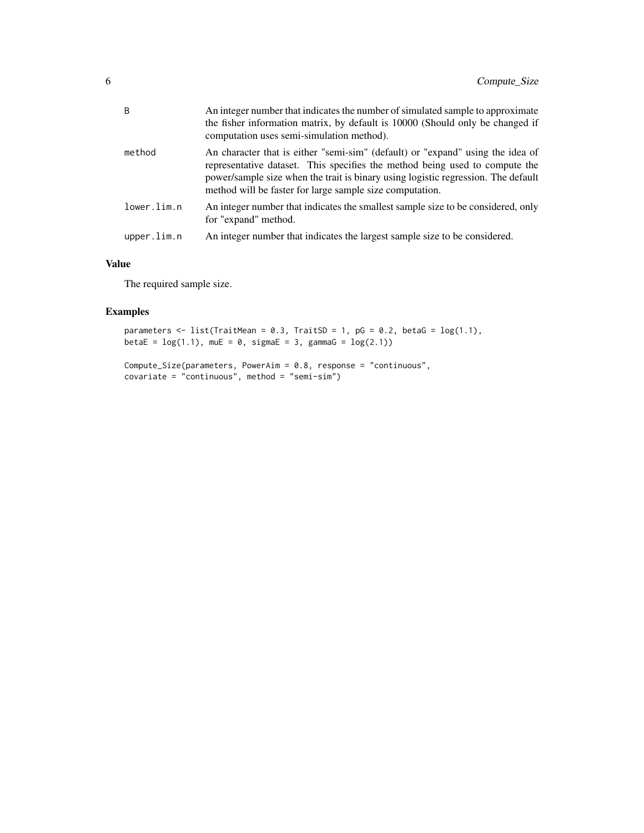| method<br>method will be faster for large sample size computation.<br>lower.lim.n<br>for "expand" method.<br>An integer number that indicates the largest sample size to be considered.<br>upper.lim.n | B | An integer number that indicates the number of simulated sample to approximate<br>the fisher information matrix, by default is 10000 (Should only be changed if<br>computation uses semi-simulation method).                                       |
|--------------------------------------------------------------------------------------------------------------------------------------------------------------------------------------------------------|---|----------------------------------------------------------------------------------------------------------------------------------------------------------------------------------------------------------------------------------------------------|
|                                                                                                                                                                                                        |   | An character that is either "semi-sim" (default) or "expand" using the idea of<br>representative dataset. This specifies the method being used to compute the<br>power/sample size when the trait is binary using logistic regression. The default |
|                                                                                                                                                                                                        |   | An integer number that indicates the smallest sample size to be considered, only                                                                                                                                                                   |
|                                                                                                                                                                                                        |   |                                                                                                                                                                                                                                                    |

#### Value

The required sample size.

#### Examples

```
parameters \leq list(TraitMean = 0.3, TraitSD = 1, pG = 0.2, betaG = \log(1.1),
betaE = log(1.1), muE = 0, sigmaE = 3, gammaG = log(2.1))
```

```
Compute_Size(parameters, PowerAim = 0.8, response = "continuous",
covariate = "continuous", method = "semi-sim")
```